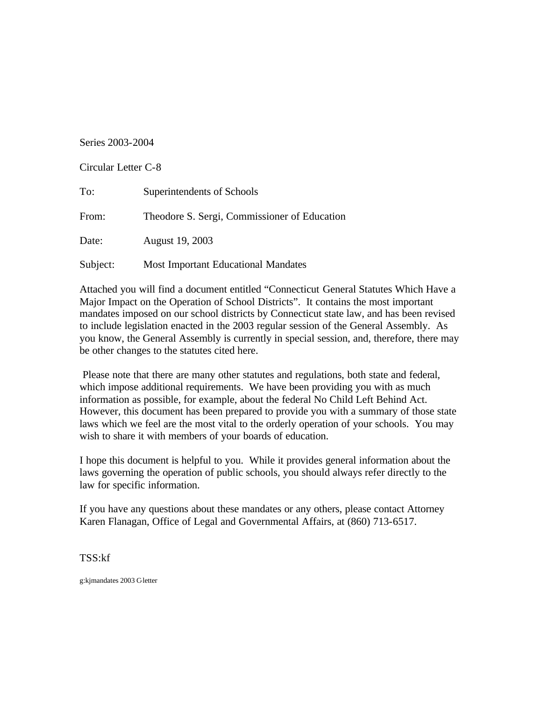## Series 2003-2004

Circular Letter C-8

| To:      | Superintendents of Schools                   |
|----------|----------------------------------------------|
| From:    | Theodore S. Sergi, Commissioner of Education |
| Date:    | August 19, 2003                              |
| Subject: | <b>Most Important Educational Mandates</b>   |

Attached you will find a document entitled "Connecticut General Statutes Which Have a Major Impact on the Operation of School Districts". It contains the most important mandates imposed on our school districts by Connecticut state law, and has been revised to include legislation enacted in the 2003 regular session of the General Assembly. As you know, the General Assembly is currently in special session, and, therefore, there may be other changes to the statutes cited here.

Please note that there are many other statutes and regulations, both state and federal, which impose additional requirements. We have been providing you with as much information as possible, for example, about the federal No Child Left Behind Act. However, this document has been prepared to provide you with a summary of those state laws which we feel are the most vital to the orderly operation of your schools. You may wish to share it with members of your boards of education.

I hope this document is helpful to you. While it provides general information about the laws governing the operation of public schools, you should always refer directly to the law for specific information.

If you have any questions about these mandates or any others, please contact Attorney Karen Flanagan, Office of Legal and Governmental Affairs, at (860) 713-6517.

TSS:kf

g:kjmandates 2003 C-letter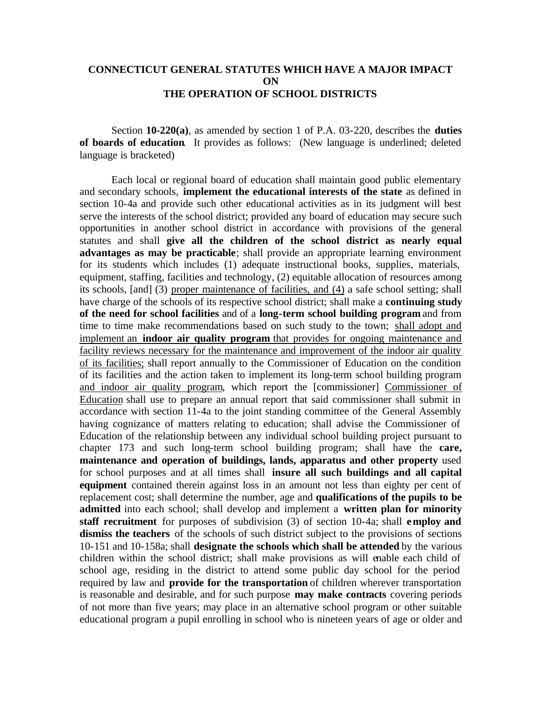## **CONNECTICUT GENERAL STATUTES WHICH HAVE A MAJOR IMPACT ON THE OPERATION OF SCHOOL DISTRICTS**

Section **10-220(a)**, as amended by section 1 of P.A. 03-220, describes the **duties of boards of education**. It provides as follows: (New language is underlined; deleted language is bracketed)

Each local or regional board of education shall maintain good public elementary and secondary schools, **implement the educational interests of the state** as defined in section 10-4a and provide such other educational activities as in its judgment will best serve the interests of the school district; provided any board of education may secure such opportunities in another school district in accordance with provisions of the general statutes and shall **give all the children of the school district as nearly equal advantages as may be practicable**; shall provide an appropriate learning environment for its students which includes (1) adequate instructional books, supplies, materials, equipment, staffing, facilities and technology, (2) equitable allocation of resources among its schools, [and] (3) proper maintenance of facilities, and (4) a safe school setting; shall have charge of the schools of its respective school district; shall make a **continuing study of the need for school facilities** and of a **long-term school building program** and from time to time make recommendations based on such study to the town; shall adopt and implement an **indoor air quality program** that provides for ongoing maintenance and facility reviews necessary for the maintenance and improvement of the indoor air quality of its facilities; shall report annually to the Commissioner of Education on the condition of its facilities and the action taken to implement its long-term school building program and indoor air quality program, which report the [commissioner] Commissioner of Education shall use to prepare an annual report that said commissioner shall submit in accordance with section 11-4a to the joint standing committee of the General Assembly having cognizance of matters relating to education; shall advise the Commissioner of Education of the relationship between any individual school building project pursuant to chapter 173 and such long-term school building program; shall have the **care, maintenance and operation of buildings, lands, apparatus and other property** used for school purposes and at all times shall **insure all such buildings and all capital equipment** contained therein against loss in an amount not less than eighty per cent of replacement cost; shall determine the number, age and **qualifications of the pupils to be admitted** into each school; shall develop and implement a **written plan for minority staff recruitment** for purposes of subdivision (3) of section 10-4a; shall **employ and dismiss the teachers** of the schools of such district subject to the provisions of sections 10-151 and 10-158a; shall **designate the schools which shall be attended** by the various children within the school district; shall make provisions as will enable each child of school age, residing in the district to attend some public day school for the period required by law and **provide for the transportation** of children wherever transportation is reasonable and desirable, and for such purpose **may make contracts** covering periods of not more than five years; may place in an alternative school program or other suitable educational program a pupil enrolling in school who is nineteen years of age or older and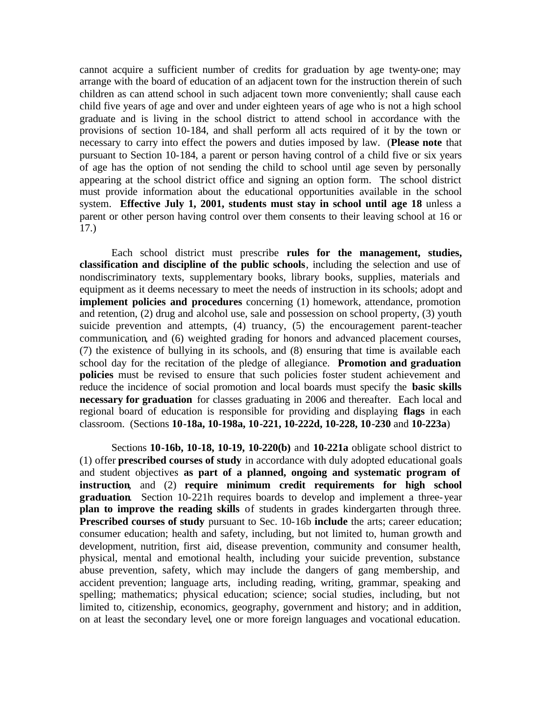cannot acquire a sufficient number of credits for graduation by age twenty-one; may arrange with the board of education of an adjacent town for the instruction therein of such children as can attend school in such adjacent town more conveniently; shall cause each child five years of age and over and under eighteen years of age who is not a high school graduate and is living in the school district to attend school in accordance with the provisions of section 10-184, and shall perform all acts required of it by the town or necessary to carry into effect the powers and duties imposed by law. (**Please note** that pursuant to Section 10-184, a parent or person having control of a child five or six years of age has the option of not sending the child to school until age seven by personally appearing at the school district office and signing an option form. The school district must provide information about the educational opportunities available in the school system. **Effective July 1, 2001, students must stay in school until age 18** unless a parent or other person having control over them consents to their leaving school at 16 or 17.)

Each school district must prescribe **rules for the management, studies, classification and discipline of the public schools**, including the selection and use of nondiscriminatory texts, supplementary books, library books, supplies, materials and equipment as it deems necessary to meet the needs of instruction in its schools; adopt and **implement policies and procedures** concerning (1) homework, attendance, promotion and retention, (2) drug and alcohol use, sale and possession on school property, (3) youth suicide prevention and attempts, (4) truancy, (5) the encouragement parent-teacher communication*,* and (6) weighted grading for honors and advanced placement courses, (7) the existence of bullying in its schools, and (8) ensuring that time is available each school day for the recitation of the pledge of allegiance. **Promotion and graduation policies** must be revised to ensure that such policies foster student achievement and reduce the incidence of social promotion and local boards must specify the **basic skills necessary for graduation** for classes graduating in 2006 and thereafter. Each local and regional board of education is responsible for providing and displaying **flags** in each classroom. (Sections **10-18a, 10-198a, 10-221, 10-222d, 10-228, 10-230** and **10-223a**)

Sections **10-16b, 10-18, 10-19, 10-220(b)** and **10-221a** obligate school district to (1) offer **prescribed courses of study** in accordance with duly adopted educational goals and student objectives **as part of a planned, ongoing and systematic program of instruction**, and (2) **require minimum credit requirements for high school graduation**. Section 10-221h requires boards to develop and implement a three-year **plan to improve the reading skills** of students in grades kindergarten through three*.*  **Prescribed courses of study** pursuant to Sec. 10-16b **include** the arts; career education; consumer education; health and safety, including, but not limited to, human growth and development, nutrition, first aid, disease prevention, community and consumer health, physical, mental and emotional health, including your suicide prevention, substance abuse prevention, safety, which may include the dangers of gang membership, and accident prevention; language arts, including reading, writing, grammar, speaking and spelling; mathematics; physical education; science; social studies, including, but not limited to, citizenship, economics, geography, government and history; and in addition, on at least the secondary level, one or more foreign languages and vocational education.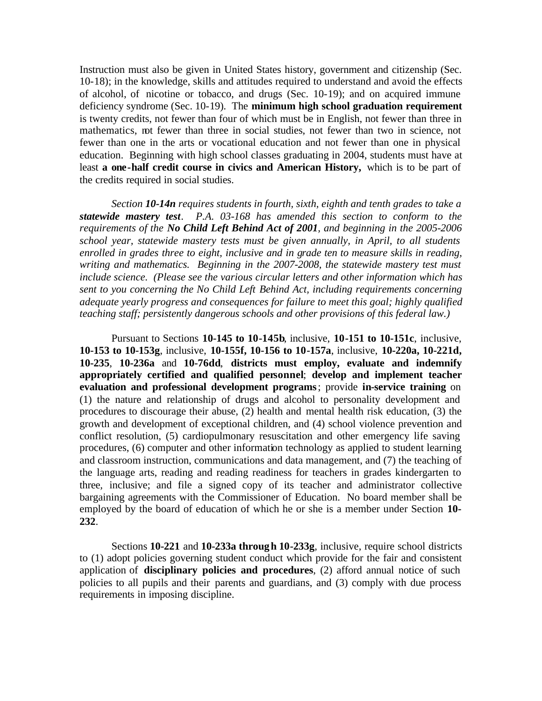Instruction must also be given in United States history, government and citizenship (Sec. 10-18); in the knowledge, skills and attitudes required to understand and avoid the effects of alcohol, of nicotine or tobacco, and drugs (Sec. 10-19); and on acquired immune deficiency syndrome (Sec. 10-19). The **minimum high school graduation requirement**  is twenty credits, not fewer than four of which must be in English, not fewer than three in mathematics, not fewer than three in social studies, not fewer than two in science, not fewer than one in the arts or vocational education and not fewer than one in physical education. Beginning with high school classes graduating in 2004, students must have at least **a one-half credit course in civics and American History,** which is to be part of the credits required in social studies.

*Section 10-14n requires students in fourth, sixth, eighth and tenth grades to take a statewide mastery test. P.A. 03-168 has amended this section to conform to the requirements of the No Child Left Behind Act of 2001, and beginning in the 2005-2006 school year, statewide mastery tests must be given annually, in April, to all students enrolled in grades three to eight, inclusive and in grade ten to measure skills in reading, writing and mathematics. Beginning in the 2007-2008, the statewide mastery test must include science. (Please see the various circular letters and other information which has sent to you concerning the No Child Left Behind Act, including requirements concerning adequate yearly progress and consequences for failure to meet this goal; highly qualified teaching staff; persistently dangerous schools and other provisions of this federal law.)* 

Pursuant to Sections **10-145 to 10-145b**, inclusive, **10-151 to 10-151c**, inclusive, **10-153 to 10-153g**, inclusive, **10-155f, 10-156 to 10-157a**, inclusive, **10-220a, 10-221d, 10-235**, **10-236a** and **10-76dd**, **districts must employ, evaluate and indemnify appropriately certified and qualified personnel**; **develop and implement teacher evaluation and professional development programs** ; provide **in-service training** on (1) the nature and relationship of drugs and alcohol to personality development and procedures to discourage their abuse, (2) health and mental health risk education, (3) the growth and development of exceptional children, and (4) school violence prevention and conflict resolution, (5) cardiopulmonary resuscitation and other emergency life saving procedures, (6) computer and other information technology as applied to student learning and classroom instruction, communications and data management, and (7) the teaching of the language arts, reading and reading readiness for teachers in grades kindergarten to three*,* inclusive; and file a signed copy of its teacher and administrator collective bargaining agreements with the Commissioner of Education. No board member shall be employed by the board of education of which he or she is a member under Section **10- 232**.

Sections **10-221** and **10-233a throug h 10-233g**, inclusive, require school districts to (1) adopt policies governing student conduct which provide for the fair and consistent application of **disciplinary policies and procedures**, (2) afford annual notice of such policies to all pupils and their parents and guardians, and (3) comply with due process requirements in imposing discipline.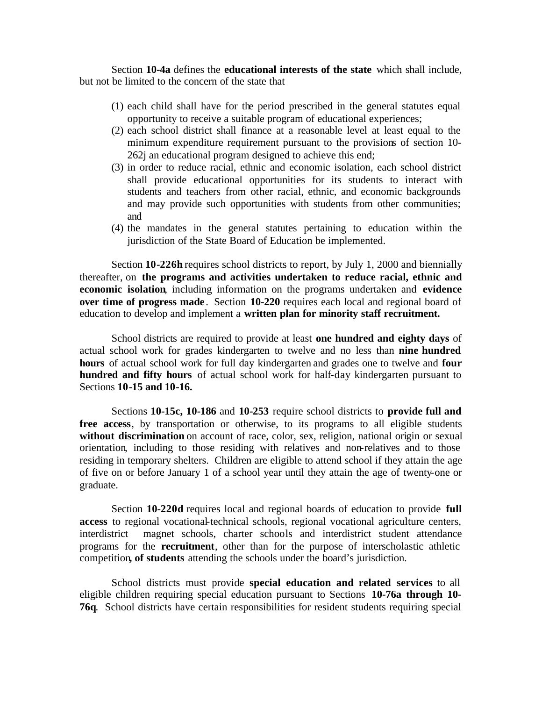Section **10-4a** defines the **educational interests of the state** which shall include, but not be limited to the concern of the state that

- (1) each child shall have for the period prescribed in the general statutes equal opportunity to receive a suitable program of educational experiences;
- (2) each school district shall finance at a reasonable level at least equal to the minimum expenditure requirement pursuant to the provisions of section 10- 262j an educational program designed to achieve this end;
- (3) in order to reduce racial, ethnic and economic isolation, each school district shall provide educational opportunities for its students to interact with students and teachers from other racial, ethnic, and economic backgrounds and may provide such opportunities with students from other communities; and
- (4) the mandates in the general statutes pertaining to education within the jurisdiction of the State Board of Education be implemented.

Section **10-226h** requires school districts to report, by July 1, 2000 and biennially thereafter, on **the programs and activities undertaken to reduce racial, ethnic and economic isolation**, including information on the programs undertaken and **evidence over time of progress made** . Section **10-220** requires each local and regional board of education to develop and implement a **written plan for minority staff recruitment.** 

School districts are required to provide at least **one hundred and eighty days** of actual school work for grades kindergarten to twelve and no less than **nine hundred hours** of actual school work for full day kindergarten and grades one to twelve and **four hundred and fifty hours** of actual school work for half-day kindergarten pursuant to Sections **10-15 and 10-16.** 

Sections **10-15c, 10-186** and **10-253** require school districts to **provide full and free access**, by transportation or otherwise, to its programs to all eligible students without discrimination on account of race, color, sex, religion, national origin or sexual orientation*,* including to those residing with relatives and non-relatives and to those residing in temporary shelters. Children are eligible to attend school if they attain the age of five on or before January 1 of a school year until they attain the age of twenty-one or graduate.

Section **10-220d** requires local and regional boards of education to provide **full access** to regional vocational-technical schools, regional vocational agriculture centers, interdistrict magnet schools, charter schools and interdistrict student attendance programs for the **recruitment**, other than for the purpose of interscholastic athletic competition**, of students** attending the schools under the board's jurisdiction.

School districts must provide **special education and related services** to all eligible children requiring special education pursuant to Sections **10-76a through 10- 76q**. School districts have certain responsibilities for resident students requiring special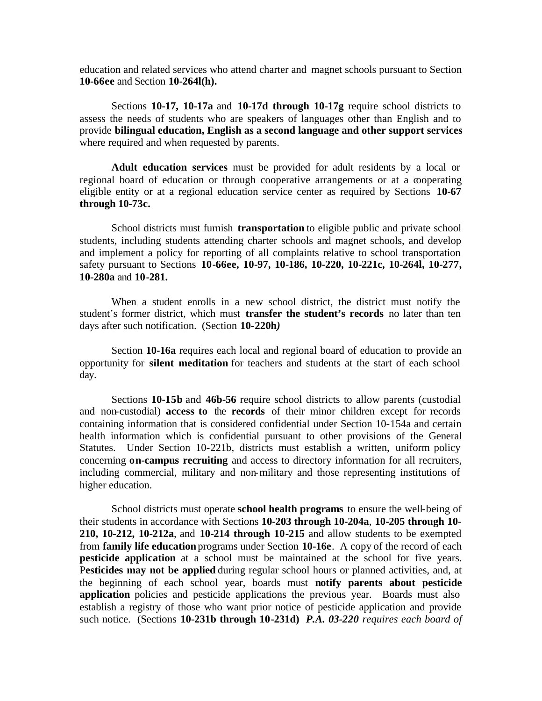education and related services who attend charter and magnet schools pursuant to Section **10-66ee** and Section **10-264l(h).** 

Sections **10-17, 10-17a** and **10-17d through 10-17g** require school districts to assess the needs of students who are speakers of languages other than English and to provide **bilingual education, English as a second language and other support services**  where required and when requested by parents.

**Adult education services** must be provided for adult residents by a local or regional board of education or through cooperative arrangements or at a cooperating eligible entity or at a regional education service center as required by Sections **10-67 through 10-73c.** 

School districts must furnish **transportation** to eligible public and private school students, including students attending charter schools and magnet schools, and develop and implement a policy for reporting of all complaints relative to school transportation safety pursuant to Sections **10-66ee, 10-97, 10-186, 10-220, 10-221c, 10-264l, 10-277, 10-280a** and **10-281.** 

When a student enrolls in a new school district, the district must notify the student's former district, which must **transfer the student's records** no later than ten days after such notification. (Section **10-220h***)* 

Section **10-16a** requires each local and regional board of education to provide an opportunity for **silent meditation** for teachers and students at the start of each school day.

Sections **10-15b** and **46b-56** require school districts to allow parents (custodial and non-custodial) **access to** the **records** of their minor children except for records containing information that is considered confidential under Section 10-154a and certain health information which is confidential pursuant to other provisions of the General Statutes. Under Section 10-221b, districts must establish a written, uniform policy concerning **on-campus recruiting** and access to directory information for all recruiters, including commercial, military and non-military and those representing institutions of higher education.

School districts must operate **school health programs** to ensure the well-being of their students in accordance with Sections **10-203 through 10-204a**, **10-205 through 10**- **210, 10-212, 10-212a**, and **10-214 through 10-215** and allow students to be exempted from **family life education** programs under Section **10-16e**. A copy of the record of each **pesticide application** at a school must be maintained at the school for five years. P**esticides may not be applied** during regular school hours or planned activities, and, at the beginning of each school year, boards must **notify parents about pesticide application** policies and pesticide applications the previous year. Boards must also establish a registry of those who want prior notice of pesticide application and provide such notice. (Sections **10-231b through 10-231d)** *P.A. 03-220 requires each board of*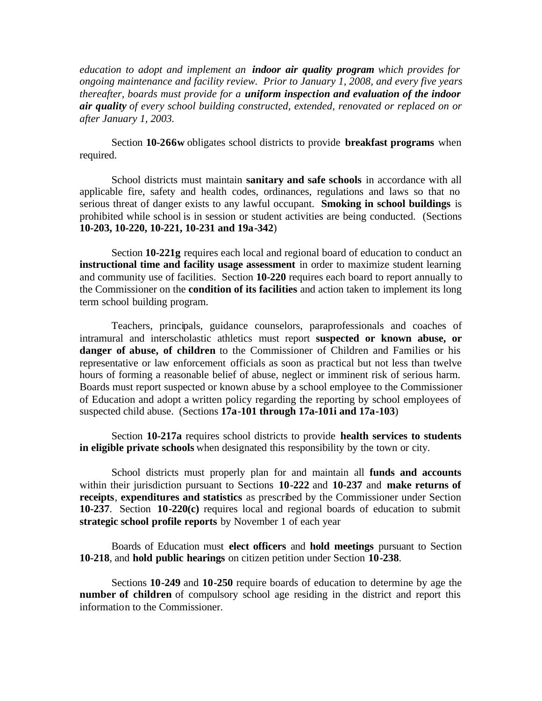*education to adopt and implement an indoor air quality program which provides for ongoing maintenance and facility review. Prior to January 1, 2008, and every five years thereafter, boards must provide for a uniform inspection and evaluation of the indoor air quality of every school building constructed, extended, renovated or replaced on or after January 1, 2003.* 

Section **10-266w** obligates school districts to provide **breakfast programs** when required.

School districts must maintain **sanitary and safe schools** in accordance with all applicable fire, safety and health codes, ordinances, regulations and laws so that no serious threat of danger exists to any lawful occupant. **Smoking in school buildings** is prohibited while school is in session or student activities are being conducted. (Sections **10-203, 10-220, 10-221, 10-231 and 19a-342**)

Section **10-221g** requires each local and regional board of education to conduct an **instructional time and facility usage assessment** in order to maximize student learning and community use of facilities. Section **10-220** requires each board to report annually to the Commissioner on the **condition of its facilities** and action taken to implement its long term school building program.

Teachers, principals, guidance counselors, paraprofessionals and coaches of intramural and interscholastic athletics must report **suspected or known abuse, or danger of abuse, of children** to the Commissioner of Children and Families or his representative or law enforcement officials as soon as practical but not less than twelve hours of forming a reasonable belief of abuse, neglect or imminent risk of serious harm. Boards must report suspected or known abuse by a school employee to the Commissioner of Education and adopt a written policy regarding the reporting by school employees of suspected child abuse. (Sections **17a-101 through 17a-101i and 17a-103**)

Section **10-217a** requires school districts to provide **health services to students in eligible private schools** when designated this responsibility by the town or city.

School districts must properly plan for and maintain all **funds and accounts**  within their jurisdiction pursuant to Sections **10-222** and **10-237** and **make returns of receipts**, **expenditures and statistics** as prescribed by the Commissioner under Section **10-237**. Section **10-220(c)** requires local and regional boards of education to submit **strategic school profile reports** by November 1 of each year

Boards of Education must **elect officers** and **hold meetings** pursuant to Section **10-218**, and **hold public hearings** on citizen petition under Section **10-238**.

Sections **10-249** and **10-250** require boards of education to determine by age the **number of children** of compulsory school age residing in the district and report this information to the Commissioner.